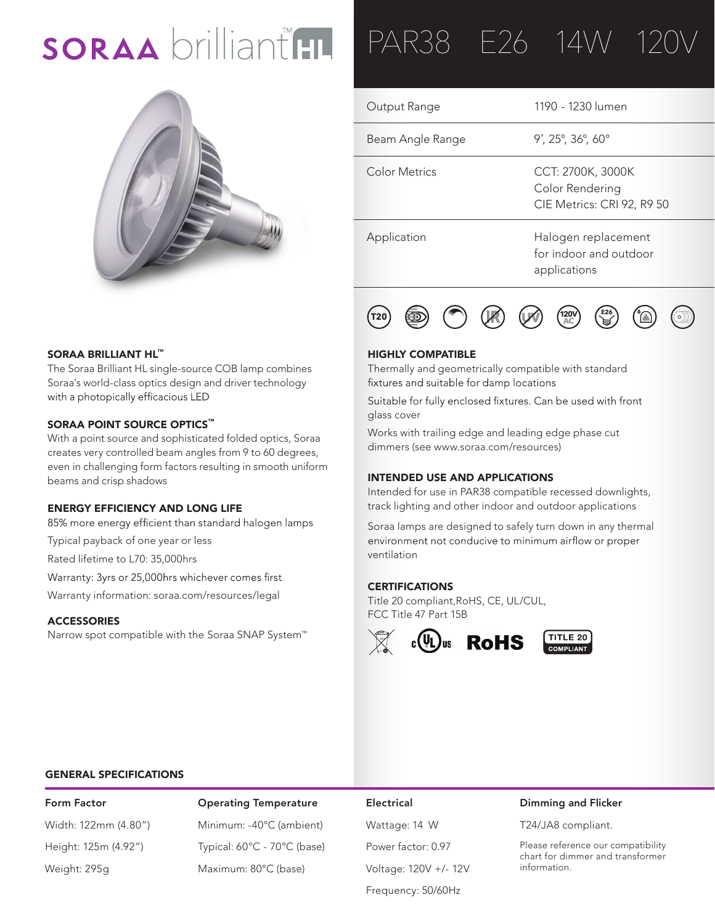# SORAA brilliant HL



### SORAA BRILLIANT HL™

The Soraa Brilliant HL single-source COB lamp combines Soraa's world-class optics design and driver technology with a photopically efficacious LED

### SORAA POINT SOURCE OPTICS™

With a point source and sophisticated folded optics, Soraa creates very controlled beam angles from 9 to 60 degrees, even in challenging form factors resulting in smooth uniform beams and crisp shadows

### ENERGY EFFICIENCY AND LONG LIFE

85% more energy efficient than standard halogen lamps

Typical payback of one year or less

Rated lifetime to L70: 35,000hrs

Warranty: 3yrs or 25,000hrs whichever comes first

Warranty information: soraa.com/resources/legal

### **ACCESSORIES**

Narrow spot compatible with the Soraa SNAP System™

## PAR38 E26 14W

| Output Range     | 1190 - 1230 lumen                                                  |
|------------------|--------------------------------------------------------------------|
| Beam Angle Range | $9^{\circ}$ , 25 $^{\circ}$ , 36 $^{\circ}$ , 60 $^{\circ}$        |
| Color Metrics    | CCT: 2700K, 3000K<br>Color Rendering<br>CIE Metrics: CRI 92, R9 50 |
| Application      | Halogen replacement<br>for indoor and outdoor<br>applications      |



### HIGHLY COMPATIBLE

Thermally and geometrically compatible with standard fixtures and suitable for damp locations

Suitable for fully enclosed fixtures. Can be used with front glass cover

Works with trailing edge and leading edge phase cut dimmers (see www.soraa.com/resources)

### INTENDED USE AND APPLICATIONS

Intended for use in PAR38 compatible recessed downlights, track lighting and other indoor and outdoor applications

Soraa lamps are designed to safely turn down in any thermal environment not conducive to minimum airflow or proper ventilation

### **CERTIFICATIONS**

Title 20 compliant,RoHS, CE, UL/CUL, FCC Title 47 Part 15B



### GENERAL SPECIFICATIONS

Form Factor **Containg Temperature Electrical** Width: 122mm (4.80") Minimum: -40°C (ambient) Wattage: 14 W Height: 125m (4.92") Typical: 60°C - 70°C (base) Power factor: 0.97 Weight: 295g Maximum: 80°C (base) Voltage: 120V +/- 12V

Frequency: 50/60Hz

### Dimming and Flicker

T24/JA8 compliant.

Please reference our compatibility chart for dimmer and transformer information.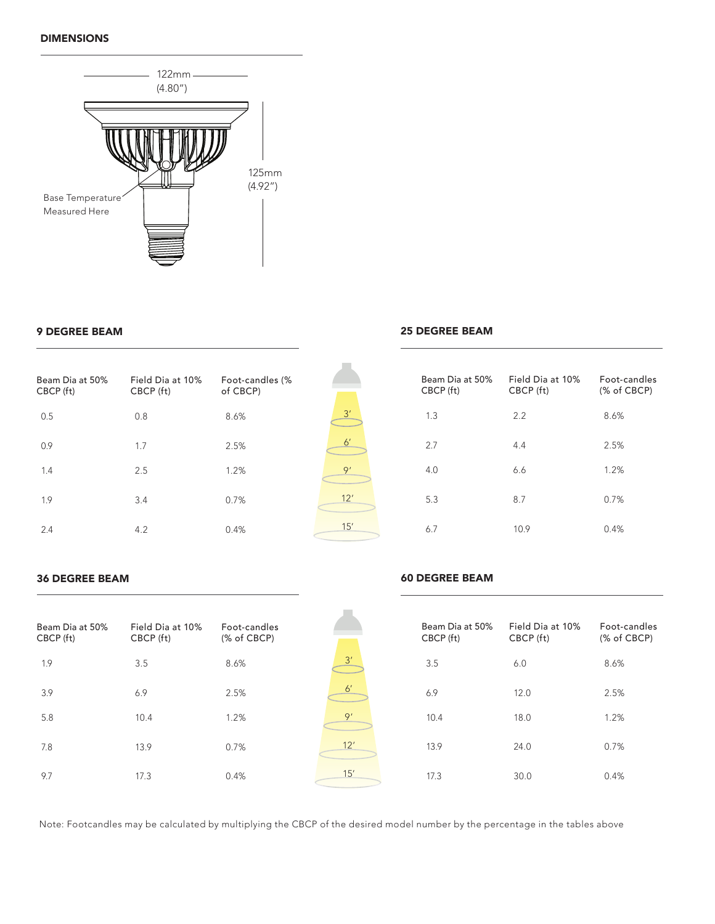### DIMENSIONS



### 9 DEGREE BEAM

| Beam Dia at 50%<br>CBCP (ft) | Field Dia at 10%<br>CBCP (ft) | Foot-candles (%<br>of CBCP) |
|------------------------------|-------------------------------|-----------------------------|
| 0.5                          | 0.8                           | 8.6%                        |
| 0.9                          | 1.7                           | 2.5%                        |
| 1.4                          | 2.5                           | 1.2%                        |
| 1.9                          | 3.4                           | 0.7%                        |
| 2.4                          | 4.2                           | 0.4%                        |

## 3' 6' 9' 12' 15'

### 25 DEGREE BEAM

60 DEGREE BEAM

| Beam Dia at 50%<br>CBCP (ft) | Field Dia at 10%<br>CBCP (ft) | Enot-candles<br>(% of CBCP) |
|------------------------------|-------------------------------|-----------------------------|
| 1.3                          | 2.2                           | 8.6%                        |
| 2.7                          | 4.4                           | 2.5%                        |
| 4.0                          | 6.6                           | 1.2%                        |
| 5.3                          | 8.7                           | 0.7%                        |
| 6.7                          | 10.9                          | 0.4%                        |

### 36 DEGREE BEAM

| Beam Dia at 50%<br>CBCP (ft) | Field Dia at 10%<br>CBCP (ft) | Foot-candles<br>(% of CBCP) |              | Beam Dia at 50%<br>CBCP (ft) | Field Dia at 10%<br>CBCP (ft) | Foot-candles<br>(% of CBCP) |
|------------------------------|-------------------------------|-----------------------------|--------------|------------------------------|-------------------------------|-----------------------------|
| 1.9                          | 3.5                           | 8.6%                        | 3'           | 3.5                          | 6.0                           | 8.6%                        |
| 3.9                          | 6.9                           | 2.5%                        | $6^{\prime}$ | 6.9                          | 12.0                          | 2.5%                        |
| 5.8                          | 10.4                          | 1.2%                        | 9'           | 10.4                         | 18.0                          | 1.2%                        |
| 7.8                          | 13.9                          | 0.7%                        | 12'          | 13.9                         | 24.0                          | 0.7%                        |
| 9.7                          | 17.3                          | 0.4%                        | 15'          | 17.3                         | 30.0                          | 0.4%                        |

Note: Footcandles may be calculated by multiplying the CBCP of the desired model number by the percentage in the tables above